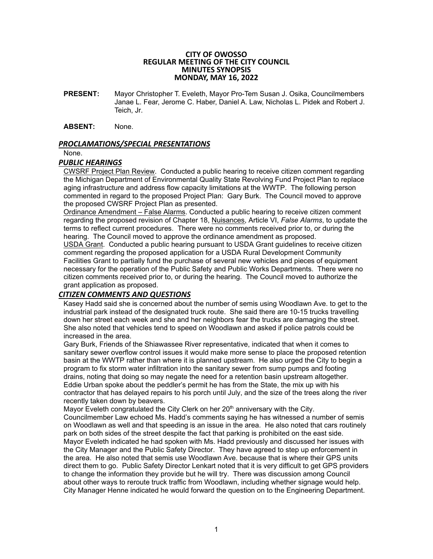#### **CITY OF OWOSSO REGULAR MEETING OF THE CITY COUNCIL MINUTES SYNOPSIS MONDAY, MAY 16, 2022**

**PRESENT:** Mayor Christopher T. Eveleth, Mayor Pro-Tem Susan J. Osika, Councilmembers Janae L. Fear, Jerome C. Haber, Daniel A. Law, Nicholas L. Pidek and Robert J. Teich, Jr.

**ABSENT:** None.

### *PROCLAMATIONS/SPECIAL PRESENTATIONS*

None.

### *PUBLIC HEARINGS*

CWSRF Project Plan Review. Conducted a public hearing to receive citizen comment regarding the Michigan Department of Environmental Quality State Revolving Fund Project Plan to replace aging infrastructure and address flow capacity limitations at the WWTP. The following person commented in regard to the proposed Project Plan: Gary Burk. The Council moved to approve the proposed CWSRF Project Plan as presented.

Ordinance Amendment – False Alarms. Conducted a public hearing to receive citizen comment regarding the proposed revision of Chapter 18, Nuisances, Article VI, *False Alarms*, to update the terms to reflect current procedures. There were no comments received prior to, or during the hearing. The Council moved to approve the ordinance amendment as proposed.

USDA Grant. Conducted a public hearing pursuant to USDA Grant guidelines to receive citizen comment regarding the proposed application for a USDA Rural Development Community Facilities Grant to partially fund the purchase of several new vehicles and pieces of equipment necessary for the operation of the Public Safety and Public Works Departments. There were no citizen comments received prior to, or during the hearing. The Council moved to authorize the grant application as proposed.

# *CITIZEN COMMENTS AND QUESTIONS*

Kasey Hadd said she is concerned about the number of semis using Woodlawn Ave. to get to the industrial park instead of the designated truck route. She said there are 10-15 trucks travelling down her street each week and she and her neighbors fear the trucks are damaging the street. She also noted that vehicles tend to speed on Woodlawn and asked if police patrols could be increased in the area.

Gary Burk, Friends of the Shiawassee River representative, indicated that when it comes to sanitary sewer overflow control issues it would make more sense to place the proposed retention basin at the WWTP rather than where it is planned upstream. He also urged the City to begin a program to fix storm water infiltration into the sanitary sewer from sump pumps and footing drains, noting that doing so may negate the need for a retention basin upstream altogether. Eddie Urban spoke about the peddler's permit he has from the State, the mix up with his contractor that has delayed repairs to his porch until July, and the size of the trees along the river recently taken down by beavers.

Mayor Eveleth congratulated the City Clerk on her  $20<sup>th</sup>$  anniversary with the City. Councilmember Law echoed Ms. Hadd's comments saying he has witnessed a number of semis on Woodlawn as well and that speeding is an issue in the area. He also noted that cars routinely park on both sides of the street despite the fact that parking is prohibited on the east side. Mayor Eveleth indicated he had spoken with Ms. Hadd previously and discussed her issues with the City Manager and the Public Safety Director. They have agreed to step up enforcement in the area. He also noted that semis use Woodlawn Ave. because that is where their GPS units direct them to go. Public Safety Director Lenkart noted that it is very difficult to get GPS providers to change the information they provide but he will try. There was discussion among Council about other ways to reroute truck traffic from Woodlawn, including whether signage would help. City Manager Henne indicated he would forward the question on to the Engineering Department.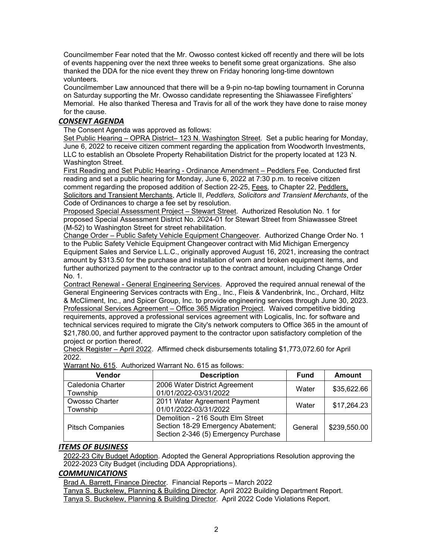Councilmember Fear noted that the Mr. Owosso contest kicked off recently and there will be lots of events happening over the next three weeks to benefit some great organizations. She also thanked the DDA for the nice event they threw on Friday honoring long-time downtown volunteers.

Councilmember Law announced that there will be a 9-pin no-tap bowling tournament in Corunna on Saturday supporting the Mr. Owosso candidate representing the Shiawassee Firefighters' Memorial. He also thanked Theresa and Travis for all of the work they have done to raise money for the cause.

# *CONSENT AGENDA*

The Consent Agenda was approved as follows:

Set Public Hearing – OPRA District– 123 N. Washington Street. Set a public hearing for Monday, June 6, 2022 to receive citizen comment regarding the application from Woodworth Investments, LLC to establish an Obsolete Property Rehabilitation District for the property located at 123 N. Washington Street.

First Reading and Set Public Hearing - Ordinance Amendment – Peddlers Fee. Conducted first reading and set a public hearing for Monday, June 6, 2022 at 7:30 p.m. to receive citizen comment regarding the proposed addition of Section 22-25, Fees*,* to Chapter 22, Peddlers, Solicitors and Transient Merchants, Article II, *Peddlers, Solicitors and Transient Merchants*, of the Code of Ordinances to charge a fee set by resolution.

Proposed Special Assessment Project – Stewart Street. Authorized Resolution No. 1 for proposed Special Assessment District No. 2024-01 for Stewart Street from Shiawassee Street (M-52) to Washington Street for street rehabilitation.

Change Order – Public Safety Vehicle Equipment Changeover. Authorized Change Order No. 1 to the Public Safety Vehicle Equipment Changeover contract with Mid Michigan Emergency Equipment Sales and Service L.L.C., originally approved August 16, 2021, increasing the contract amount by \$313.50 for the purchase and installation of worn and broken equipment items, and further authorized payment to the contractor up to the contract amount, including Change Order No. 1.

Contract Renewal - General Engineering Services. Approved the required annual renewal of the General Engineering Services contracts with Eng., Inc., Fleis & Vandenbrink, Inc., Orchard, Hiltz & McCliment, Inc., and Spicer Group, Inc. to provide engineering services through June 30, 2023. Professional Services Agreement – Office 365 Migration Project. Waived competitive bidding requirements, approved a professional services agreement with Logicalis, Inc. for software and technical services required to migrate the City's network computers to Office 365 in the amount of \$21,780.00, and further approved payment to the contractor upon satisfactory completion of the project or portion thereof.

Check Register – April 2022. Affirmed check disbursements totaling \$1,773,072.60 for April 2022.

| <b>Vendor</b>                 | <b>Description</b>                                                                                              | <b>Fund</b> | Amount       |
|-------------------------------|-----------------------------------------------------------------------------------------------------------------|-------------|--------------|
| Caledonia Charter<br>Township | 2006 Water District Agreement<br>01/01/2022-03/31/2022                                                          | Water       | \$35,622.66  |
| Owosso Charter<br>Township    | 2011 Water Agreement Payment<br>01/01/2022-03/31/2022                                                           | Water       | \$17,264.23  |
| <b>Pitsch Companies</b>       | Demolition - 216 South Elm Street<br>Section 18-29 Emergency Abatement;<br>Section 2-346 (5) Emergency Purchase | General     | \$239,550.00 |

Warrant No. 615. Authorized Warrant No. 615 as follows:

## *ITEMS OF BUSINESS*

2022-23 City Budget Adoption. Adopted the General Appropriations Resolution approving the 2022-2023 City Budget (including DDA Appropriations).

## *COMMUNICATIONS*

Brad A. Barrett, Finance Director. Financial Reports – March 2022

Tanya S. Buckelew, Planning & Building Director. April 2022 Building Department Report. Tanya S. Buckelew, Planning & Building Director. April 2022 Code Violations Report.